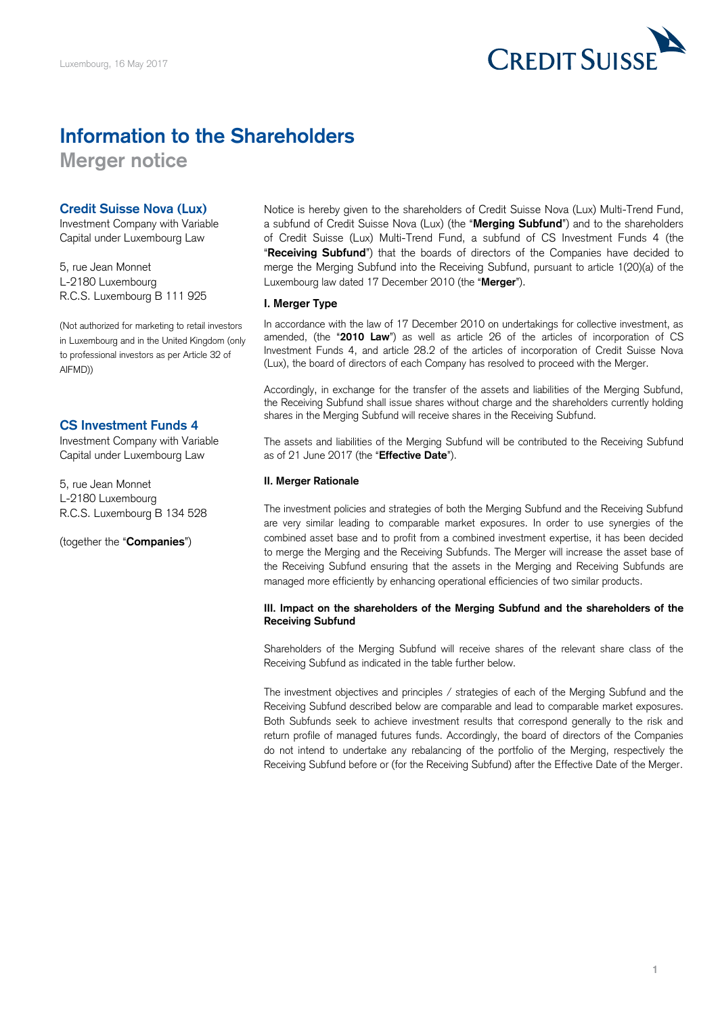

# **Information to the Shareholders**

**Merger notice** 

## **Credit Suisse Nova (Lux)**

Investment Company with Variable Capital under Luxembourg Law

5, rue Jean Monnet L-2180 Luxembourg R.C.S. Luxembourg B 111 925

 (Not authorized for marketing to retail investors in Luxembourg and in the United Kingdom (only to professional investors as per Article 32 of AIFMD))

## **CS Investment Funds 4**

Investment Company with Variable Capital under Luxembourg Law

5, rue Jean Monnet L-2180 Luxembourg R.C.S. Luxembourg B 134 528

### (together the "**Companies**")

 Notice is hereby given to the shareholders of Credit Suisse Nova (Lux) Multi-Trend Fund, a subfund of Credit Suisse Nova (Lux) (the "**Merging Subfund**") and to the shareholders of Credit Suisse (Lux) Multi-Trend Fund, a subfund of CS Investment Funds 4 (the "**Receiving Subfund**") that the boards of directors of the Companies have decided to merge the Merging Subfund into the Receiving Subfund, pursuant to article 1(20)(a) of the Luxembourg law dated 17 December 2010 (the "**Merger**").

### **I. Merger Type**

 In accordance with the law of 17 December 2010 on undertakings for collective investment, as amended, (the "**2010 Law**") as well as article 26 of the articles of incorporation of CS Investment Funds 4, and article 28.2 of the articles of incorporation of Credit Suisse Nova (Lux), the board of directors of each Company has resolved to proceed with the Merger.

 Accordingly, in exchange for the transfer of the assets and liabilities of the Merging Subfund, the Receiving Subfund shall issue shares without charge and the shareholders currently holding shares in the Merging Subfund will receive shares in the Receiving Subfund.

 The assets and liabilities of the Merging Subfund will be contributed to the Receiving Subfund as of 21 June 2017 (the "**Effective Date**").

#### **II. Merger Rationale**

 The investment policies and strategies of both the Merging Subfund and the Receiving Subfund are very similar leading to comparable market exposures. In order to use synergies of the combined asset base and to profit from a combined investment expertise, it has been decided to merge the Merging and the Receiving Subfunds. The Merger will increase the asset base of the Receiving Subfund ensuring that the assets in the Merging and Receiving Subfunds are managed more efficiently by enhancing operational efficiencies of two similar products.

#### **III. Impact on the shareholders of the Merging Subfund and the shareholders of the Receiving Subfund**

 Shareholders of the Merging Subfund will receive shares of the relevant share class of the Receiving Subfund as indicated in the table further below.

 The investment objectives and principles / strategies of each of the Merging Subfund and the Receiving Subfund described below are comparable and lead to comparable market exposures. Both Subfunds seek to achieve investment results that correspond generally to the risk and return profile of managed futures funds. Accordingly, the board of directors of the Companies do not intend to undertake any rebalancing of the portfolio of the Merging, respectively the Receiving Subfund before or (for the Receiving Subfund) after the Effective Date of the Merger.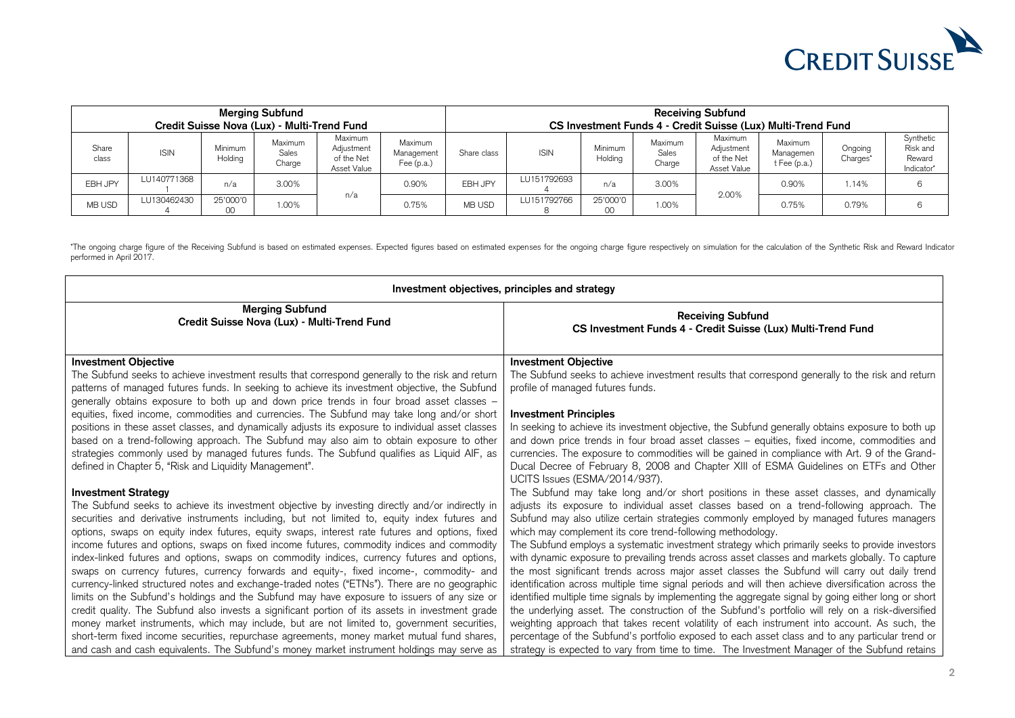

| <b>Merging Subfund</b><br>Credit Suisse Nova (Lux) - Multi-Trend Fund |             |                    |                            |                                                    |                                       | <b>Receiving Subfund</b><br>CS Investment Funds 4 - Credit Suisse (Lux) Multi-Trend Fund |             |                    |                            |                                                    |                                          |                                 |                                               |
|-----------------------------------------------------------------------|-------------|--------------------|----------------------------|----------------------------------------------------|---------------------------------------|------------------------------------------------------------------------------------------|-------------|--------------------|----------------------------|----------------------------------------------------|------------------------------------------|---------------------------------|-----------------------------------------------|
| Share<br>class                                                        | <b>ISIN</b> | Minimum<br>Holding | Maximum<br>Sales<br>Charge | Maximum<br>Adjustment<br>of the Net<br>Asset Value | Maximum<br>Management<br>Fee $(p.a.)$ | Share class                                                                              | <b>ISIN</b> | Minimum<br>Holding | Maximum<br>Sales<br>Charge | Maximum<br>Adjustment<br>of the Net<br>Asset Value | Maximum<br>Managemen<br>$t$ Fee $(p.a.)$ | Ongoing<br>Charges <sup>®</sup> | Synthetic<br>Risk and<br>Reward<br>Indicator* |
| EBH JPY                                                               | LU140771368 | n/a                | 3.00%                      | n/a                                                | 0.90%                                 | EBH JPY                                                                                  | LU151792693 | n/a                | 3.00%                      | 2.00%                                              | 0.90%                                    | 1.14%                           |                                               |
| MB USD                                                                | LU130462430 | 25'000'0<br>00     | 1.00%                      |                                                    | 0.75%                                 | <b>MB USD</b>                                                                            | LU151792766 | 25'000'0           | 1.00%                      |                                                    | 0.75%                                    | 0.79%                           |                                               |

 \*The ongoing charge figure of the Receiving Subfund is based on estimated expenses. Expected figures based on estimated expenses for the ongoing charge figure respectively on simulation for the calculation of the Synthetic performed in April 2017.

| Investment objectives, principles and strategy                                                                                                                                                                                                                                                                                                                                                                                                        |                                                                                                                                                                                                                                                                                                                                                                                                                                                               |  |  |  |  |  |
|-------------------------------------------------------------------------------------------------------------------------------------------------------------------------------------------------------------------------------------------------------------------------------------------------------------------------------------------------------------------------------------------------------------------------------------------------------|---------------------------------------------------------------------------------------------------------------------------------------------------------------------------------------------------------------------------------------------------------------------------------------------------------------------------------------------------------------------------------------------------------------------------------------------------------------|--|--|--|--|--|
| <b>Merging Subfund</b>                                                                                                                                                                                                                                                                                                                                                                                                                                | <b>Receiving Subfund</b>                                                                                                                                                                                                                                                                                                                                                                                                                                      |  |  |  |  |  |
| Credit Suisse Nova (Lux) - Multi-Trend Fund                                                                                                                                                                                                                                                                                                                                                                                                           | CS Investment Funds 4 - Credit Suisse (Lux) Multi-Trend Fund                                                                                                                                                                                                                                                                                                                                                                                                  |  |  |  |  |  |
| <b>Investment Objective</b><br>The Subfund seeks to achieve investment results that correspond generally to the risk and return<br>patterns of managed futures funds. In seeking to achieve its investment objective, the Subfund<br>generally obtains exposure to both up and down price trends in four broad asset classes -                                                                                                                        | <b>Investment Objective</b><br>The Subfund seeks to achieve investment results that correspond generally to the risk and return<br>profile of managed futures funds.                                                                                                                                                                                                                                                                                          |  |  |  |  |  |
| equities, fixed income, commodities and currencies. The Subfund may take long and/or short<br>positions in these asset classes, and dynamically adjusts its exposure to individual asset classes<br>based on a trend-following approach. The Subfund may also aim to obtain exposure to other<br>strategies commonly used by managed futures funds. The Subfund qualifies as Liquid AIF, as<br>defined in Chapter 5, "Risk and Liquidity Management". | <b>Investment Principles</b><br>In seeking to achieve its investment objective, the Subfund generally obtains exposure to both up<br>and down price trends in four broad asset classes - equities, fixed income, commodities and<br>currencies. The exposure to commodities will be gained in compliance with Art. 9 of the Grand-<br>Ducal Decree of February 8, 2008 and Chapter XIII of ESMA Guidelines on ETFs and Other<br>UCITS Issues (ESMA/2014/937). |  |  |  |  |  |
| <b>Investment Strategy</b>                                                                                                                                                                                                                                                                                                                                                                                                                            | The Subfund may take long and/or short positions in these asset classes, and dynamically                                                                                                                                                                                                                                                                                                                                                                      |  |  |  |  |  |
| The Subfund seeks to achieve its investment objective by investing directly and/or indirectly in                                                                                                                                                                                                                                                                                                                                                      | adjusts its exposure to individual asset classes based on a trend-following approach. The                                                                                                                                                                                                                                                                                                                                                                     |  |  |  |  |  |
| securities and derivative instruments including, but not limited to, equity index futures and                                                                                                                                                                                                                                                                                                                                                         | Subfund may also utilize certain strategies commonly employed by managed futures managers                                                                                                                                                                                                                                                                                                                                                                     |  |  |  |  |  |
| options, swaps on equity index futures, equity swaps, interest rate futures and options, fixed                                                                                                                                                                                                                                                                                                                                                        | which may complement its core trend-following methodology.                                                                                                                                                                                                                                                                                                                                                                                                    |  |  |  |  |  |
| income futures and options, swaps on fixed income futures, commodity indices and commodity                                                                                                                                                                                                                                                                                                                                                            | The Subfund employs a systematic investment strategy which primarily seeks to provide investors                                                                                                                                                                                                                                                                                                                                                               |  |  |  |  |  |
| index-linked futures and options, swaps on commodity indices, currency futures and options,                                                                                                                                                                                                                                                                                                                                                           | with dynamic exposure to prevailing trends across asset classes and markets globally. To capture                                                                                                                                                                                                                                                                                                                                                              |  |  |  |  |  |
| swaps on currency futures, currency forwards and equity-, fixed income-, commodity- and                                                                                                                                                                                                                                                                                                                                                               | the most significant trends across major asset classes the Subfund will carry out daily trend                                                                                                                                                                                                                                                                                                                                                                 |  |  |  |  |  |
| currency-linked structured notes and exchange-traded notes ("ETNs"). There are no geographic                                                                                                                                                                                                                                                                                                                                                          | identification across multiple time signal periods and will then achieve diversification across the                                                                                                                                                                                                                                                                                                                                                           |  |  |  |  |  |
| limits on the Subfund's holdings and the Subfund may have exposure to issuers of any size or                                                                                                                                                                                                                                                                                                                                                          | identified multiple time signals by implementing the aggregate signal by going either long or short                                                                                                                                                                                                                                                                                                                                                           |  |  |  |  |  |
| credit quality. The Subfund also invests a significant portion of its assets in investment grade                                                                                                                                                                                                                                                                                                                                                      | the underlying asset. The construction of the Subfund's portfolio will rely on a risk-diversified                                                                                                                                                                                                                                                                                                                                                             |  |  |  |  |  |
| money market instruments, which may include, but are not limited to, government securities,                                                                                                                                                                                                                                                                                                                                                           | weighting approach that takes recent volatility of each instrument into account. As such, the                                                                                                                                                                                                                                                                                                                                                                 |  |  |  |  |  |
| short-term fixed income securities, repurchase agreements, money market mutual fund shares,                                                                                                                                                                                                                                                                                                                                                           | percentage of the Subfund's portfolio exposed to each asset class and to any particular trend or                                                                                                                                                                                                                                                                                                                                                              |  |  |  |  |  |
| and cash and cash equivalents. The Subfund's money market instrument holdings may serve as                                                                                                                                                                                                                                                                                                                                                            | strategy is expected to vary from time to time. The Investment Manager of the Subfund retains                                                                                                                                                                                                                                                                                                                                                                 |  |  |  |  |  |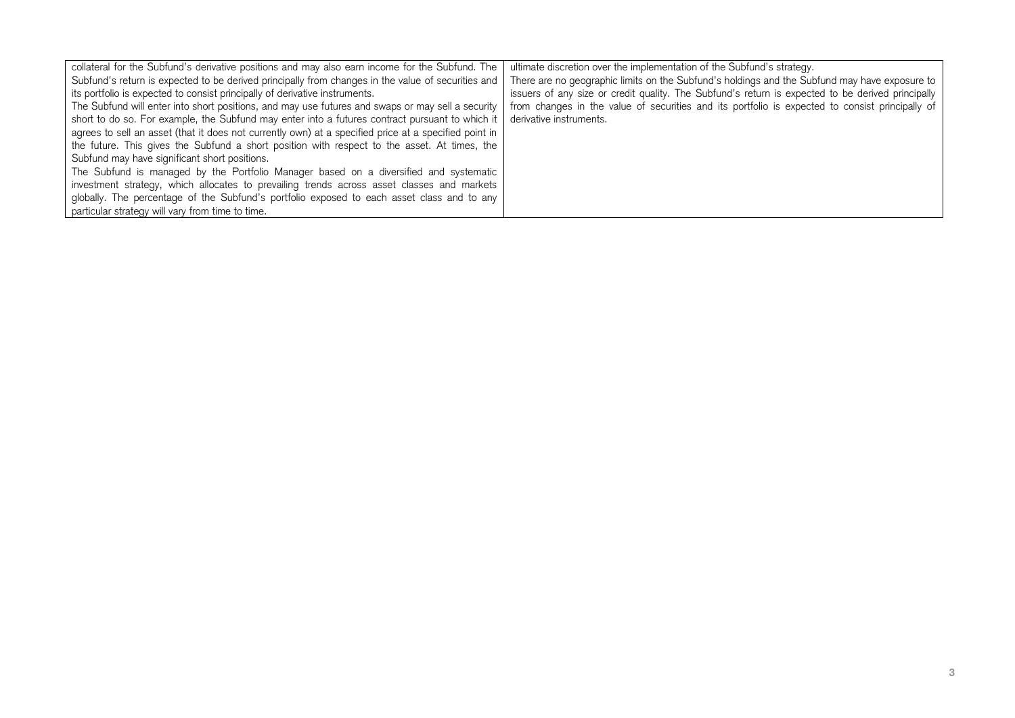| collateral for the Subfund's derivative positions and may also earn income for the Subfund. The       | ultimate discretion over the implementation of the Subfund's strategy.                            |
|-------------------------------------------------------------------------------------------------------|---------------------------------------------------------------------------------------------------|
| Subfund's return is expected to be derived principally from changes in the value of securities and    | There are no geographic limits on the Subfund's holdings and the Subfund may have exposure to     |
| its portfolio is expected to consist principally of derivative instruments.                           | issuers of any size or credit quality. The Subfund's return is expected to be derived principally |
| The Subfund will enter into short positions, and may use futures and swaps or may sell a security     | from changes in the value of securities and its portfolio is expected to consist principally of   |
| short to do so. For example, the Subfund may enter into a futures contract pursuant to which it       | derivative instruments.                                                                           |
| agrees to sell an asset (that it does not currently own) at a specified price at a specified point in |                                                                                                   |
| the future. This gives the Subfund a short position with respect to the asset. At times, the          |                                                                                                   |
| Subfund may have significant short positions.                                                         |                                                                                                   |
| The Subfund is managed by the Portfolio Manager based on a diversified and systematic                 |                                                                                                   |
| investment strategy, which allocates to prevailing trends across asset classes and markets            |                                                                                                   |
| globally. The percentage of the Subfund's portfolio exposed to each asset class and to any            |                                                                                                   |
| particular strategy will vary from time to time.                                                      |                                                                                                   |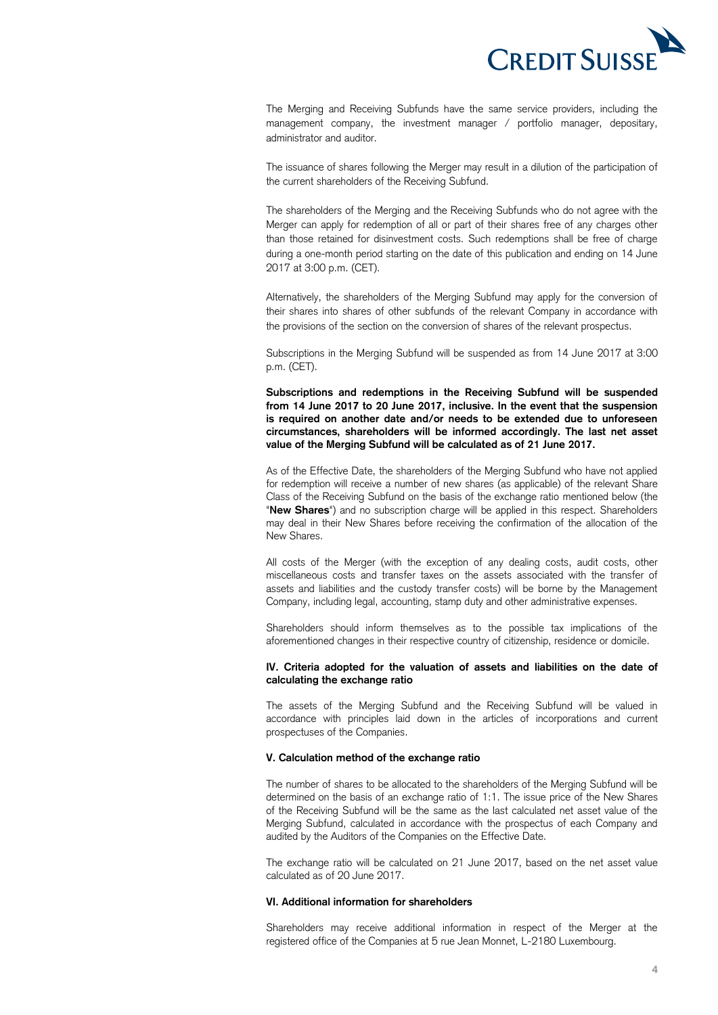

 The Merging and Receiving Subfunds have the same service providers, including the management company, the investment manager / portfolio manager, depositary, administrator and auditor.

 The issuance of shares following the Merger may result in a dilution of the participation of the current shareholders of the Receiving Subfund.

 The shareholders of the Merging and the Receiving Subfunds who do not agree with the Merger can apply for redemption of all or part of their shares free of any charges other than those retained for disinvestment costs. Such redemptions shall be free of charge during a one-month period starting on the date of this publication and ending on 14 June 2017 at 3:00 p.m. (CET).

 Alternatively, the shareholders of the Merging Subfund may apply for the conversion of their shares into shares of other subfunds of the relevant Company in accordance with the provisions of the section on the conversion of shares of the relevant prospectus.

 Subscriptions in the Merging Subfund will be suspended as from 14 June 2017 at 3:00 p.m. (CET).

 **Subscriptions and redemptions in the Receiving Subfund will be suspended from 14 June 2017 to 20 June 2017, inclusive. In the event that the suspension is required on another date and/or needs to be extended due to unforeseen circumstances, shareholders will be informed accordingly. The last net asset value of the Merging Subfund will be calculated as of 21 June 2017.** 

 As of the Effective Date, the shareholders of the Merging Subfund who have not applied for redemption will receive a number of new shares (as applicable) of the relevant Share Class of the Receiving Subfund on the basis of the exchange ratio mentioned below (the "**New Shares**") and no subscription charge will be applied in this respect. Shareholders may deal in their New Shares before receiving the confirmation of the allocation of the New Shares.

 All costs of the Merger (with the exception of any dealing costs, audit costs, other miscellaneous costs and transfer taxes on the assets associated with the transfer of assets and liabilities and the custody transfer costs) will be borne by the Management Company, including legal, accounting, stamp duty and other administrative expenses.

 Shareholders should inform themselves as to the possible tax implications of the aforementioned changes in their respective country of citizenship, residence or domicile.

#### **IV. Criteria adopted for the valuation of assets and liabilities on the date of calculating the exchange ratio**

 The assets of the Merging Subfund and the Receiving Subfund will be valued in accordance with principles laid down in the articles of incorporations and current prospectuses of the Companies.

#### **V. Calculation method of the exchange ratio**

 The number of shares to be allocated to the shareholders of the Merging Subfund will be determined on the basis of an exchange ratio of 1:1. The issue price of the New Shares of the Receiving Subfund will be the same as the last calculated net asset value of the Merging Subfund, calculated in accordance with the prospectus of each Company and audited by the Auditors of the Companies on the Effective Date.

 The exchange ratio will be calculated on 21 June 2017, based on the net asset value calculated as of 20 June 2017.

#### **VI. Additional information for shareholders**

 Shareholders may receive additional information in respect of the Merger at the registered office of the Companies at 5 rue Jean Monnet, L-2180 Luxembourg.